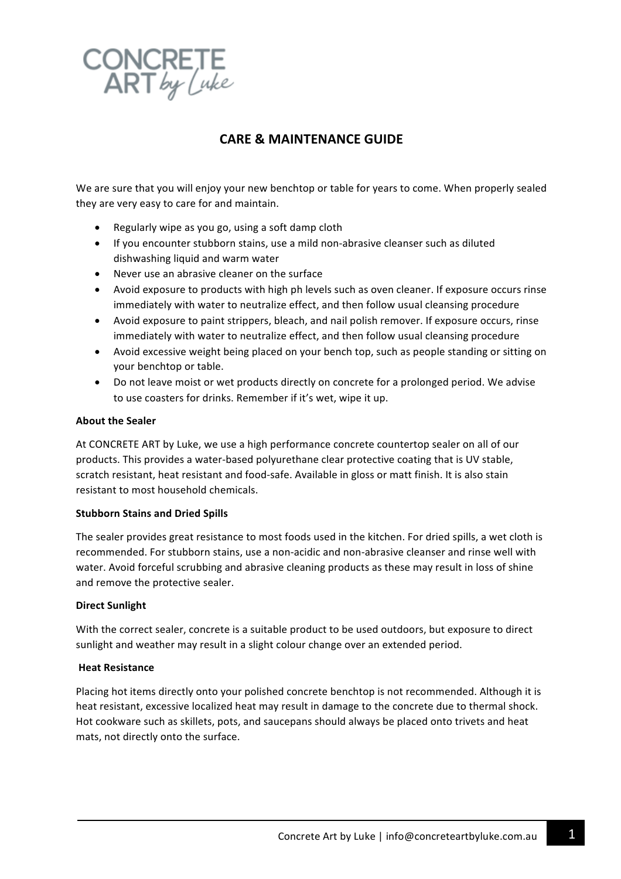

# **CARE & MAINTENANCE GUIDE**

We are sure that you will enjoy your new benchtop or table for years to come. When properly sealed they are very easy to care for and maintain.

- Regularly wipe as you go, using a soft damp cloth
- If you encounter stubborn stains, use a mild non-abrasive cleanser such as diluted dishwashing liquid and warm water
- Never use an abrasive cleaner on the surface
- Avoid exposure to products with high ph levels such as oven cleaner. If exposure occurs rinse immediately with water to neutralize effect, and then follow usual cleansing procedure
- Avoid exposure to paint strippers, bleach, and nail polish remover. If exposure occurs, rinse immediately with water to neutralize effect, and then follow usual cleansing procedure
- Avoid excessive weight being placed on your bench top, such as people standing or sitting on your benchtop or table.
- Do not leave moist or wet products directly on concrete for a prolonged period. We advise to use coasters for drinks. Remember if it's wet, wipe it up.

#### **About the Sealer**

At CONCRETE ART by Luke, we use a high performance concrete countertop sealer on all of our products. This provides a water-based polyurethane clear protective coating that is UV stable, scratch resistant, heat resistant and food-safe. Available in gloss or matt finish. It is also stain resistant to most household chemicals.

## **Stubborn Stains and Dried Spills**

The sealer provides great resistance to most foods used in the kitchen. For dried spills, a wet cloth is recommended. For stubborn stains, use a non-acidic and non-abrasive cleanser and rinse well with water. Avoid forceful scrubbing and abrasive cleaning products as these may result in loss of shine and remove the protective sealer.

## **Direct Sunlight**

With the correct sealer, concrete is a suitable product to be used outdoors, but exposure to direct sunlight and weather may result in a slight colour change over an extended period.

#### **Heat Resistance**

Placing hot items directly onto your polished concrete benchtop is not recommended. Although it is heat resistant, excessive localized heat may result in damage to the concrete due to thermal shock. Hot cookware such as skillets, pots, and saucepans should always be placed onto trivets and heat mats, not directly onto the surface.